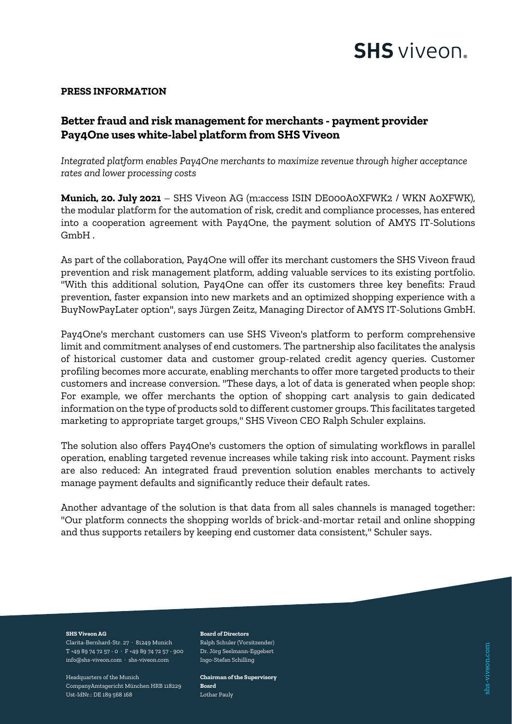

shs-viveon.com

### **PRESS INFORMATION**

## **Better fraud and risk management for merchants - payment provider Pay4One uses white-label platform from SHS Viveon**

*Integrated platform enables Pay4One merchants to maximize revenue through higher acceptance rates and lower processing costs*

**Munich, 20. July 2021** – SHS Viveon AG (m:access ISIN DE000A0XFWK2 / WKN A0XFWK), the modular platform for the automation of risk, credit and compliance processes, has entered into a cooperation agreement with Pay4One, the payment solution of AMYS IT-Solutions GmbH .

As part of the collaboration, Pay4One will offer its merchant customers the SHS Viveon fraud prevention and risk management platform, adding valuable services to its existing portfolio. "With this additional solution, Pay4One can offer its customers three key benefits: Fraud prevention, faster expansion into new markets and an optimized shopping experience with a BuyNowPayLater option", says Jürgen Zeitz, Managing Director of AMYS IT-Solutions GmbH.

Pay4One's merchant customers can use SHS Viveon's platform to perform comprehensive limit and commitment analyses of end customers. The partnership also facilitates the analysis of historical customer data and customer group-related credit agency queries. Customer profiling becomes more accurate, enabling merchants to offer more targeted products to their customers and increase conversion. "These days, a lot of data is generated when people shop: For example, we offer merchants the option of shopping cart analysis to gain dedicated information on the type of products sold to different customer groups. This facilitates targeted marketing to appropriate target groups," SHS Viveon CEO Ralph Schuler explains.

The solution also offers Pay4One's customers the option of simulating workflows in parallel operation, enabling targeted revenue increases while taking risk into account. Payment risks are also reduced: An integrated fraud prevention solution enables merchants to actively manage payment defaults and significantly reduce their default rates.

Another advantage of the solution is that data from all sales channels is managed together: "Our platform connects the shopping worlds of brick-and-mortar retail and online shopping and thus supports retailers by keeping end customer data consistent," Schuler says.

### **SHS Viveon AG**

Clarita-Bernhard-Str. 27 · 81249 Munich T +49 89 74 72 57 - 0 · F +49 89 74 72 57 - 900 info@shs-viveon.com · shs-viveon.com

Headquarters of the Munich CompanyAmtsgericht München HRB 118229 Ust-IdNr.: DE 189 568 168

### **Board of Directors**

Ralph Schuler (Vorsitzender) Dr. Jörg Seelmann-Eggebert Ingo-Stefan Schilling

**Chairman of the Supervisory Board** Lothar Pauly